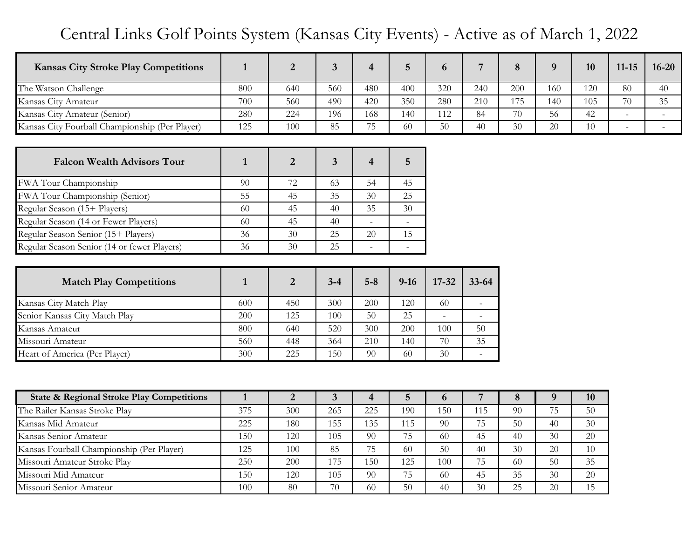## Central Links Golf Points System (Kansas City Events) - Active as of March 1, 2022

| <b>Kansas City Stroke Play Competitions</b>    | $\mathbf{1}$ | $\overline{2}$ | $\overline{3}$          | $\overline{\mathbf{4}}$ | $5\overline{)}$     | 6         | $\overline{7}$           | 8   | 9      | 10  | $11 - 15$ | $16 - 20$                 |
|------------------------------------------------|--------------|----------------|-------------------------|-------------------------|---------------------|-----------|--------------------------|-----|--------|-----|-----------|---------------------------|
| The Watson Challenge                           | 800          | 640            | 560                     | 480                     | 400                 | 320       | 240                      | 200 | 160    | 120 | 80        | 40                        |
| Kansas City Amateur                            | 700          | 560            | 490                     | 420                     | 350                 | 280       | 210                      | 175 | 140    | 105 | 70        | 35                        |
| Kansas City Amateur (Senior)                   | 280          | 224            | 196                     | 168                     | 140                 | 112       | 84                       | 70  | 56     | 42  |           |                           |
| Kansas City Fourball Championship (Per Player) | 125          | 100            | 85                      | $\overline{75}$         | 60                  | 50        | 40                       | 30  | 20     | 10  | $\equiv$  | $\mathbb{L}^{\mathbb{N}}$ |
|                                                |              |                |                         |                         |                     |           |                          |     |        |     |           |                           |
| <b>Falcon Wealth Advisors Tour</b>             | $\mathbf{1}$ | $\overline{2}$ | $\overline{\mathbf{3}}$ | $\overline{\mathbf{4}}$ | $5\phantom{.}$      |           |                          |     |        |     |           |                           |
| FWA Tour Championship                          | 90           | 72             | 63                      | 54                      | 45                  |           |                          |     |        |     |           |                           |
| FWA Tour Championship (Senior)                 | 55           | 45             | 35                      | 30                      | 25                  |           |                          |     |        |     |           |                           |
| Regular Season (15+ Players)                   | 60           | 45             | 40                      | 35                      | 30                  |           |                          |     |        |     |           |                           |
| Regular Season (14 or Fewer Players)           | 60           | 45             | 40                      | $\bar{a}$               |                     |           |                          |     |        |     |           |                           |
| Regular Season Senior (15+ Players)            | 36           | 30             | 25                      | 20                      | 15                  |           |                          |     |        |     |           |                           |
| Regular Season Senior (14 or fewer Players)    | 36           | 30             | 25                      | $\overline{a}$          | $\bar{\phantom{a}}$ |           |                          |     |        |     |           |                           |
|                                                |              |                |                         |                         |                     |           |                          |     |        |     |           |                           |
| <b>Match Play Competitions</b>                 | $\mathbf{1}$ | $\overline{2}$ | $3 - 4$                 | $5 - 8$                 | $9-16$              | $17 - 32$ | $33 - 64$                |     |        |     |           |                           |
| Kansas City Match Play                         | 600          | 450            | 300                     | 200                     | 120                 | 60        | $\frac{1}{2}$            |     |        |     |           |                           |
| Senior Kansas City Match Play                  | 200          | 125            | 100                     | 50                      | 25                  |           |                          |     |        |     |           |                           |
| Kansas Amateur                                 | 800          | 640            | 520                     | 300                     | 200                 | 100       | 50                       |     |        |     |           |                           |
| Missouri Amateur                               | 560          | 448            | 364                     | 210                     | 140                 | 70        | 35                       |     |        |     |           |                           |
| Heart of America (Per Player)                  | 300          | 225            | 150                     | 90                      | 60                  | 30        | $\overline{\phantom{a}}$ |     |        |     |           |                           |
|                                                |              |                |                         |                         |                     |           |                          |     |        |     |           |                           |
| State & Regional Stroke Play Competitions      | $\mathbf{1}$ | $\overline{2}$ | 3 <sup>1</sup>          | $\overline{\mathbf{4}}$ | $\overline{5}$      | 6         | $\overline{7}$           | 8   | 9      | 10  |           |                           |
| The Railer Kansas Stroke Play                  | 375          | 300            | 265                     | 225                     | 190                 | 150       | 115                      | 90  | 75     | 50  |           |                           |
| Kansas Mid Amateur                             | 225          | 180            | 155                     | 135                     | 115                 | 90        | 75                       | 50  | 40     | 30  |           |                           |
| Kansas Senior Amateur                          | 150          | 120            | 105                     | 90                      | 75                  | 60        | 45                       | 40  | 30     | 20  |           |                           |
| Kansas Fourball Championship (Per Player)      | 125          | 100            | 85                      | 75                      | 60                  | 50        | 40                       | 30  | $20\,$ | 10  |           |                           |
| Missouri Amateur Stroke Play                   | 250          | 200            | 175                     | 150                     | 125                 | 100       | 75                       | 60  | 50     | 35  |           |                           |
| Missouri Mid Amateur                           | 150          | 120            | 105                     | 90                      | 75                  | 60        | 45                       | 35  | 30     | 20  |           |                           |
| Missouri Senior Amateur                        | 100          | 80             | 70                      | 60                      | 50                  | 40        | 30                       | 25  | 20     | 15  |           |                           |